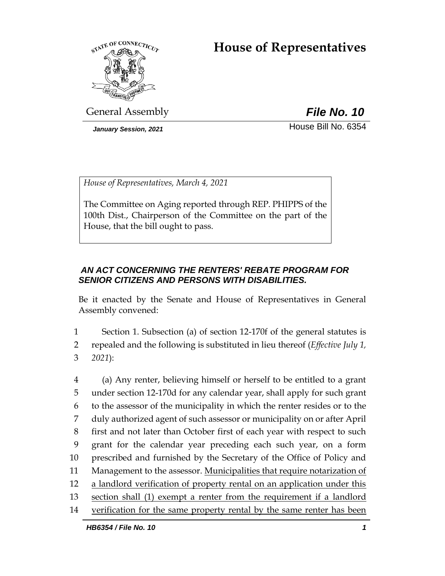# **House of Representatives**



General Assembly *File No. 10*

*January Session, 2021* House Bill No. 6354

*House of Representatives, March 4, 2021*

The Committee on Aging reported through REP. PHIPPS of the 100th Dist., Chairperson of the Committee on the part of the House, that the bill ought to pass.

# *AN ACT CONCERNING THE RENTERS' REBATE PROGRAM FOR SENIOR CITIZENS AND PERSONS WITH DISABILITIES.*

Be it enacted by the Senate and House of Representatives in General Assembly convened:

1 Section 1. Subsection (a) of section 12-170f of the general statutes is 2 repealed and the following is substituted in lieu thereof (*Effective July 1,*  3 *2021*):

 (a) Any renter, believing himself or herself to be entitled to a grant under section 12-170d for any calendar year, shall apply for such grant to the assessor of the municipality in which the renter resides or to the duly authorized agent of such assessor or municipality on or after April first and not later than October first of each year with respect to such grant for the calendar year preceding each such year, on a form prescribed and furnished by the Secretary of the Office of Policy and 11 Management to the assessor. Municipalities that require notarization of a landlord verification of property rental on an application under this section shall (1) exempt a renter from the requirement if a landlord verification for the same property rental by the same renter has been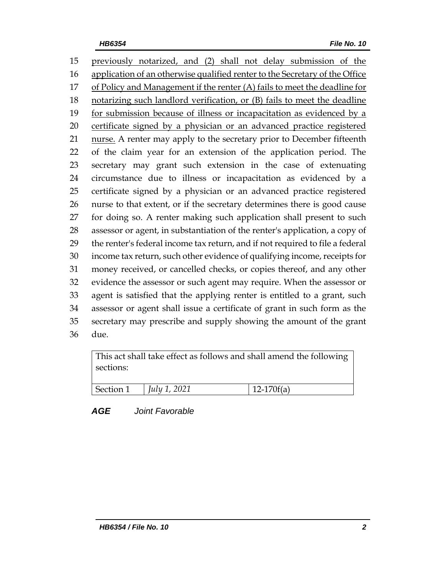previously notarized, and (2) shall not delay submission of the application of an otherwise qualified renter to the Secretary of the Office of Policy and Management if the renter (A) fails to meet the deadline for notarizing such landlord verification, or (B) fails to meet the deadline 19 for submission because of illness or incapacitation as evidenced by a certificate signed by a physician or an advanced practice registered 21 nurse. A renter may apply to the secretary prior to December fifteenth of the claim year for an extension of the application period. The secretary may grant such extension in the case of extenuating circumstance due to illness or incapacitation as evidenced by a certificate signed by a physician or an advanced practice registered nurse to that extent, or if the secretary determines there is good cause for doing so. A renter making such application shall present to such assessor or agent, in substantiation of the renter's application, a copy of the renter's federal income tax return, and if not required to file a federal income tax return, such other evidence of qualifying income, receipts for money received, or cancelled checks, or copies thereof, and any other evidence the assessor or such agent may require. When the assessor or agent is satisfied that the applying renter is entitled to a grant, such assessor or agent shall issue a certificate of grant in such form as the secretary may prescribe and supply showing the amount of the grant due.

| This act shall take effect as follows and shall amend the following<br>sections: |              |              |
|----------------------------------------------------------------------------------|--------------|--------------|
| Section 1                                                                        | July 1, 2021 | $12-170f(a)$ |

*AGE Joint Favorable*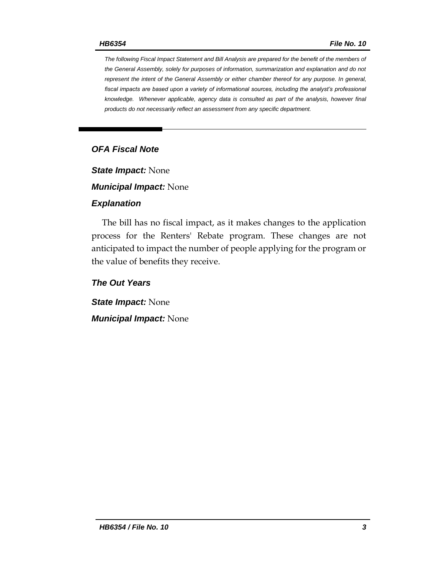*The following Fiscal Impact Statement and Bill Analysis are prepared for the benefit of the members of the General Assembly, solely for purposes of information, summarization and explanation and do not represent the intent of the General Assembly or either chamber thereof for any purpose. In general,*  fiscal impacts are based upon a variety of informational sources, including the analyst's professional *knowledge. Whenever applicable, agency data is consulted as part of the analysis, however final products do not necessarily reflect an assessment from any specific department.*

## *OFA Fiscal Note*

*State Impact:* None

*Municipal Impact:* None

#### *Explanation*

The bill has no fiscal impact, as it makes changes to the application process for the Renters' Rebate program. These changes are not anticipated to impact the number of people applying for the program or the value of benefits they receive.

*The Out Years*

*State Impact:* None *Municipal Impact:* None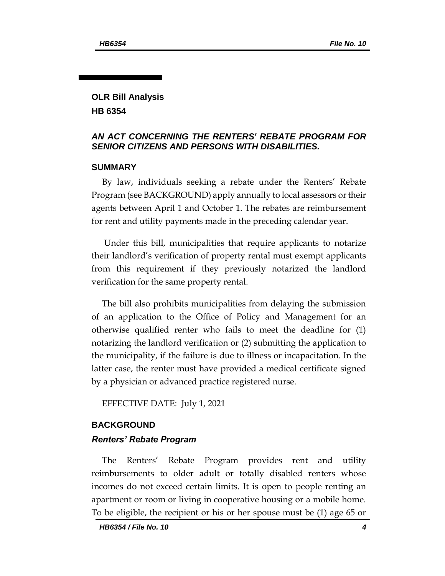# **OLR Bill Analysis HB 6354**

### *AN ACT CONCERNING THE RENTERS' REBATE PROGRAM FOR SENIOR CITIZENS AND PERSONS WITH DISABILITIES.*

#### **SUMMARY**

By law, individuals seeking a rebate under the Renters' Rebate Program (see BACKGROUND) apply annually to local assessors or their agents between April 1 and October 1. The rebates are reimbursement for rent and utility payments made in the preceding calendar year.

Under this bill, municipalities that require applicants to notarize their landlord's verification of property rental must exempt applicants from this requirement if they previously notarized the landlord verification for the same property rental.

The bill also prohibits municipalities from delaying the submission of an application to the Office of Policy and Management for an otherwise qualified renter who fails to meet the deadline for (1) notarizing the landlord verification or (2) submitting the application to the municipality, if the failure is due to illness or incapacitation. In the latter case, the renter must have provided a medical certificate signed by a physician or advanced practice registered nurse.

EFFECTIVE DATE: July 1, 2021

#### **BACKGROUND**

#### *Renters' Rebate Program*

The Renters' Rebate Program provides rent and utility reimbursements to older adult or totally disabled renters whose incomes do not exceed certain limits. It is open to people renting an apartment or room or living in cooperative housing or a mobile home. To be eligible, the recipient or his or her spouse must be (1) age 65 or